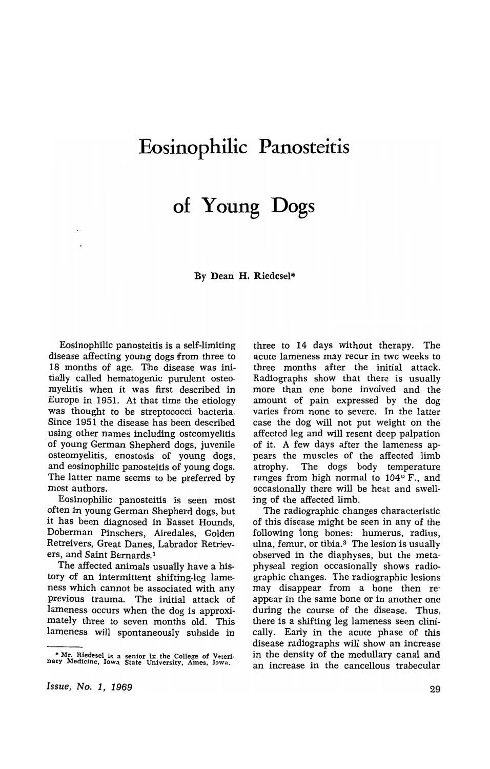## **Eosinophilic Panosteitis**

# **of Young Dogs**

By Dean H. Riedesel\*

Eosinophilic panosteitis is a self-limiting disease affecting young dogs from three to 18 months of age. The disease was initiaUy called hematogenic purulent osteomyelitis when it was first described in Europe in 1951. At that time the etiology was thought to be streptococci bacteria. Since 1951 the disease has been described using other names including osteomyelitis of young German Shepherd dogs, juvenile osteomyelitis, enostosis of young dogs, and eosinophilic panosteitis of young dogs. The latter name seems to be preferred by most authors.

Eosinophilic panosteitis is seen most often in young German Shepherd dogs, but it has been diagnosed in Basset Hounds, Doberman Pinschers, Airedales, Golden Retreivers, Great Danes, Labrador Retrievers, and Saint Bernards. <sup>1</sup>

The affected animals usually have a history of an intermittent shifting-leg lameness which cannot be associated with any previous trauma. The initial attack of lameness occurs when the dog is approximately three to seven months old. This lameness will spontaneously subside in three to 14 days without therapy. The acute lameness may recur in two weeks to three months after the initial attack. Radiographs show that there is usually more than one bone involved and the amount of pain expressed by the dog varies from none to severe. In the latter case the dog will not put weight on the affected leg and will resent deep palpation of it. A few days after the lameness appears the muscles of the affected limb atrophy. The dogs body temperature ranges from high normal to  $104^{\circ}$  F., and occasionally there will be heat and swelling of the affected limb.

The radiographic changes characteristic of this disease might be seen in any of the following long bones: humerus, radius, ulna, femur, or tibia.<sup>3</sup> The lesion is usually observed in the diaphyses, but the metaphyseal region occasionally shows radiographic changes. The radiographic lesions may disappear from a bone then reappear in the same bone or in another one during the course of the disease. Thus, there is a shifting leg lameness seen clinically. Early in the acute phase of this disease radiographs will show an increase in the density of the medullary canal and an increase in the cancellous trabecular

<sup>•</sup> Mr. Riedesel is a senior in the College of Veteri-nary Medicine, Iowa State University, Ames, Iowa.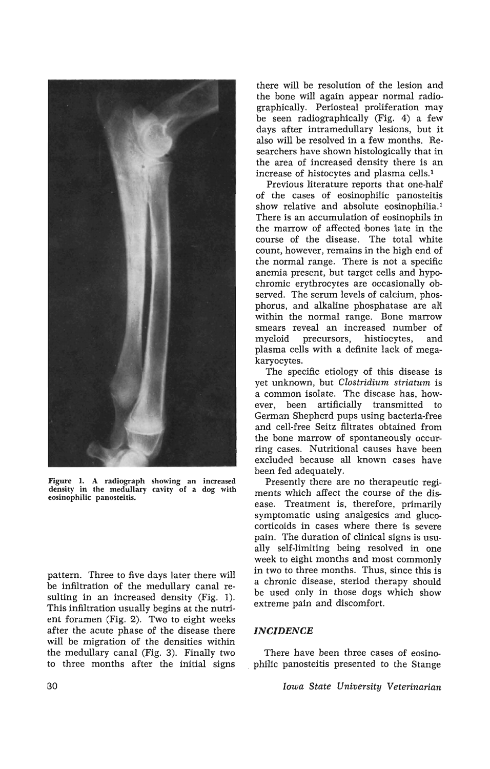

Figure 1. A radiograph showing an increased density in the medullary cavity of a dog with eosinophilic panosteitis.

pattern. Three to five days later there will be inffitration of the medullary canal resulting in an increased density (Fig. 1). This infiltration usually begins at the nutrient foramen (Fig. 2). Two to eight weeks after the acute phase of the disease there will be migration of the densities within the medullary canal (Fig. 3). Finally two to three months after the initial signs

there will be resolution of the lesion and the bone will again appear normal radiographically. Periosteal proliferation may be seen radiographically (Fig. 4) a few days after intramedullary lesions, but it also will be resolved in a few months. Researchers have shown histologically that in the area of increased density there is an increase of histocytes and plasma cells. <sup>1</sup>

Previous literature reports that one-half of the cases of eosinophilic panosteitis show relative and absolute eosinophilia.<sup>1</sup> There is an accumulation of eosinophils in the marrow of affected bones late in the course of the disease. The total white count, however, remains in the high end of the normal range. There is not a specific anemia present, but target cells and hypochromic erythrocytes are occasionally observed. The serum levels of calcium, phosphorus, and alkaline phosphatase are all within the normal range. Bone marrow smears reveal an increased number of myeloid precursors, histiocytes, and plasma cells with a definite lack of megakaryocytes.

The specific etiology of this disease is yet unknown, but *Clostridium striatum* is a common isolate. The disease has, however, been artificially transmitted to German Shepherd pups using bacteria-free and cell-free Seitz filtrates obtained from the bone marrow of spontaneously occurring cases. Nutritional causes have been excluded because all known cases have been fed adequately.

Presently there are no therapeutic regiments which affect the course of the disease. Treatment is, therefore, primarily symptomatic using analgesics and glucocorticoids in cases where there is severe pain. The duration of clinical signs is usually self-limiting being resolved in one week to eight months and most commonly in two to three months. Thus, since this is a chronic disease, steriod therapy should be used only in those dogs which show extreme pain and discomfort.

#### *INCIDENCE*

There have been three cases of eosino- . philic panosteitis presented to the Stange

*Iowa State University Veterinarian*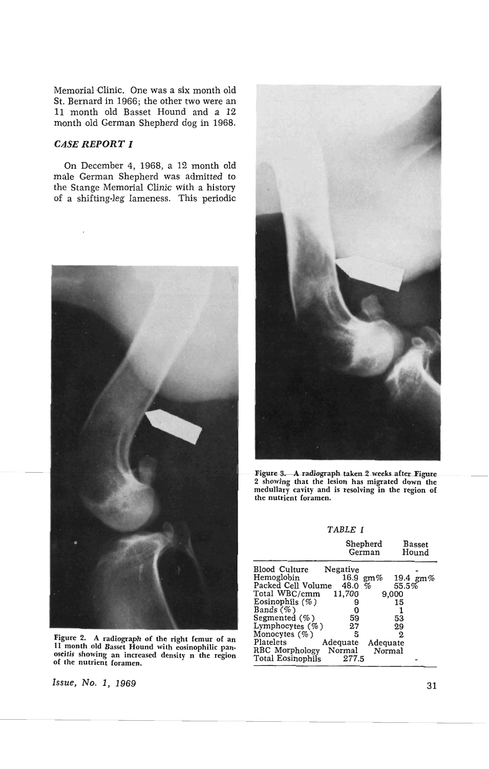Memorial Clinic. One was a six month old St. Bernard in 1966; the other two were an 11 month old Basset Hound and a 12 month old German Shepherd dog in 1968.

### CASE **REPORT I**

On December 4, 1968, a 12 month old male German Shepherd was admitted to the Stange Memorial Clinic with a history of a shifting-leg lameness. This periodic



Figure 2. A radiograph of the right femur of an II month old Basset Hound with eosinophilic pan· oseitis showing an increased density n the region of the nutrient foramen.

Issue, No.1, 1969



Figure 3. A radiograph taken 2 weeks after Figure 2 showing that the lesion has migrated down the medullary cavity and is resolving in the region of the nutrient foramen.

TABLE I

|                                  | Shepherd<br>German | <b>Basset</b><br>Hound |  |
|----------------------------------|--------------------|------------------------|--|
| <b>Blood Culture</b><br>Negative |                    |                        |  |
| Hemoglobin                       | 16.9<br>$gm\%$     | 19.4 $\text{gm}\%$     |  |
| Packed Cell Volume               | $\%$<br>48.0       | 55.5%                  |  |
| Total WBC/cmm                    | 11,700             | 9,000                  |  |
| Eosinophils $(\% )$              |                    | 15                     |  |
| Bands $(\%)$                     | 0                  |                        |  |
| Segmented $(\% )$                | 59                 | 53                     |  |
| Lymphocytes (%)                  | 27                 | 29                     |  |
| Monocytes $(\%)$                 | 5                  | 2                      |  |
| Platelets<br>Adequate            | Adequate           |                        |  |
| RBC Morphology<br>Normal         | Normal             |                        |  |
| Total Eosinophils                | 277.5              |                        |  |

31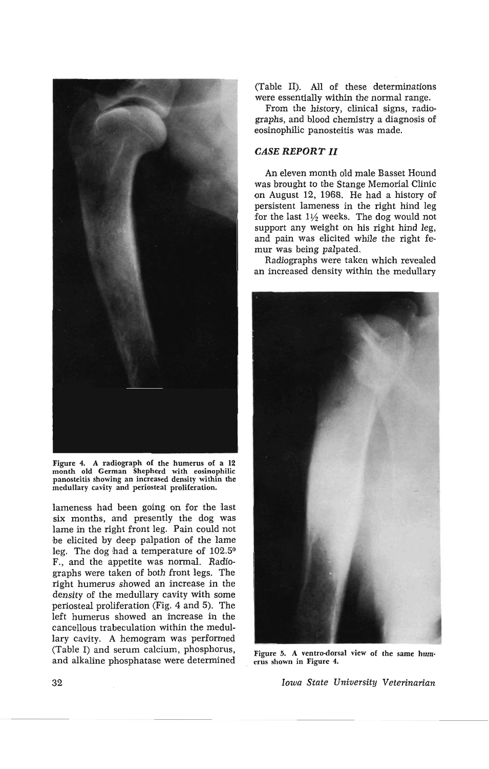

Figure 4. A radiograph of the humerus of a 12 month old German Shepherd with eosinophilic panosteitis showing an increased density within the medullary cavity and periosteal proliferation.

lameness had been going on for the 'last six months, and presently the dog was lame in the right front leg. Pain could not be elicited by deep palpation of the lame leg. The dog had a temperature of 102.5° F., and the appetite was normal. Radiographs were taken of both front legs. The right humerus showed an increase in the density of the medullary cavity with some periosteal proliferation (Fig. 4 and 5). The left humerus showed an increase in the cancellous trabeculation within the medullary cavity. A hemogram was performed (Table I) and serum calcium, phosphorus, and alkaline phosphatase were determined

(Table II). All of these determinations were essentially within the normal range.

From the history, clinical signs, radiographs, and blood chemistry a diagnosis of eosinophilic panosteitis was made.

### *CASE* **REPORT II**

An eleven month old male Basset Hound was brought to the Stange Memorial Clinic on August 12, 1968. He had a history of persistent lameness in the right hind leg for the last  $1\frac{1}{2}$  weeks. The dog would not support any weight on his right hind leg, and pain was elicited while the right femur was being palpated.

Radiographs were taken which revealed an increased density within the medullary



Figure 5. A ventro-dorsal view of the same hum-<br>erus shown in Figure 4.

*Iowa State University Veterinarian*